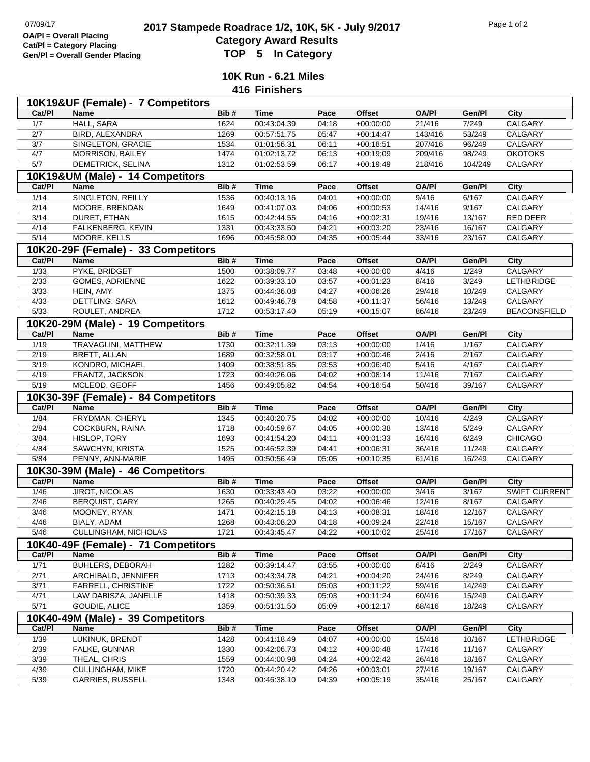## **2017 Stampede Roadrace 1/2, 10K, 5K - July 9/2017** Page 1 of 2<br> **Cotomory Award Boaulto**<br>
Cotomory Award Boaulto **Category Award Results Gen/Pl = Overall Gender Placing TOP 5 In Category**

**10K Run - 6.21 Miles 416 Finishers**

|                | 10K19&UF (Female) - 7 Competitors                  |      |             |       |               |              |         |                      |
|----------------|----------------------------------------------------|------|-------------|-------|---------------|--------------|---------|----------------------|
| Cat/PI         | <b>Name</b>                                        | Bib# | <b>Time</b> | Pace  | Offset        | <b>OA/PI</b> | Gen/Pl  | City                 |
| 1/7            | <b>HALL, SARA</b>                                  | 1624 | 00:43:04.39 | 04:18 | $+00:00:00$   | 21/416       | 7/249   | CALGARY              |
| 2/7            | BIRD, ALEXANDRA                                    | 1269 | 00:57:51.75 | 05:47 | $+00:14:47$   | 143/416      | 53/249  | CALGARY              |
| 3/7            | SINGLETON, GRACIE                                  | 1534 | 01:01:56.31 | 06:11 | $+00:18:51$   | 207/416      | 96/249  | CALGARY              |
| 4/7            | MORRISON, BAILEY                                   | 1474 | 01:02:13.72 | 06:13 | $+00:19:09$   | 209/416      | 98/249  | <b>OKOTOKS</b>       |
| 5/7            | DEMETRICK, SELINA                                  | 1312 | 01:02:53.59 | 06:17 | $+00:19:49$   | 218/416      | 104/249 | CALGARY              |
|                | 10K19&UM (Male) - 14 Competitors                   |      |             |       |               |              |         |                      |
| Cat/PI         | <b>Name</b>                                        | Bib# | <b>Time</b> | Pace  | <b>Offset</b> | <b>OA/PI</b> | Gen/Pl  | <b>City</b>          |
| $\frac{1}{14}$ | SINGLETON, REILLY                                  | 1536 | 00:40:13.16 | 04:01 | $+00:00:00$   | 9/416        | 6/167   | CALGARY              |
| 2/14           | MOORE, BRENDAN                                     | 1649 | 00:41:07.03 | 04:06 | $+00:00:53$   | 14/416       | 9/167   | CALGARY              |
| $\frac{3}{14}$ | DURET, ETHAN                                       | 1615 | 00:42:44.55 | 04:16 | $+00:02:31$   | 19/416       | 13/167  | <b>RED DEER</b>      |
| 4/14           | FALKENBERG, KEVIN                                  | 1331 | 00:43:33.50 | 04:21 | $+00:03:20$   | 23/416       | 16/167  | <b>CALGARY</b>       |
| 5/14           | <b>MOORE, KELLS</b>                                | 1696 | 00:45:58.00 | 04:35 | $+00:05:44$   | 33/416       | 23/167  | CALGARY              |
|                | 10K20-29F (Female) - 33 Competitors                |      |             |       |               |              |         |                      |
| Cat/PI         | <b>Name</b>                                        | Bib# | <b>Time</b> | Pace  | Offset        | <b>OA/PI</b> | Gen/Pl  | <b>City</b>          |
| 1/33           | PYKE, BRIDGET                                      | 1500 | 00:38:09.77 | 03:48 | $+00:00:00$   | 4/416        | 1/249   | CALGARY              |
| 2/33           | GOMES, ADRIENNE                                    | 1622 | 00:39:33.10 | 03:57 | $+00:01:23$   | 8/416        | 3/249   | <b>LETHBRIDGE</b>    |
| 3/33           | HEIN, AMY                                          | 1375 | 00:44:36.08 | 04:27 | $+00:06:26$   | 29/416       | 10/249  | CALGARY              |
| 4/33           | DETTLING, SARA                                     | 1612 | 00:49:46.78 | 04:58 | $+00:11:37$   | 56/416       | 13/249  | CALGARY              |
| 5/33           | ROULET, ANDREA                                     | 1712 | 00:53:17.40 | 05:19 | $+00:15:07$   | 86/416       | 23/249  | <b>BEACONSFIELD</b>  |
|                | 10K20-29M (Male) - 19 Competitors                  |      |             |       |               |              |         |                      |
| Cat/PI         | Name                                               | Bib# | <b>Time</b> | Pace  | <b>Offset</b> | <b>OA/PI</b> | Gen/Pl  | City                 |
| 1/19           | TRAVAGLINI, MATTHEW                                | 1730 | 00:32:11.39 | 03:13 | $+00:00:00$   | 1/416        | 1/167   | CALGARY              |
| 2/19           | BRETT, ALLAN                                       | 1689 | 00:32:58.01 | 03:17 | $+00:00:46$   | 2/416        | 2/167   | CALGARY              |
| 3/19           | KONDRO, MICHAEL                                    | 1409 | 00:38:51.85 | 03:53 | $+00:06:40$   | 5/416        | 4/167   | CALGARY              |
| 4/19           | FRANTZ, JACKSON                                    | 1723 | 00:40:26.06 | 04:02 | $+00:08:14$   | 11/416       | 7/167   | CALGARY              |
| 5/19           | MCLEOD, GEOFF                                      | 1456 | 00:49:05.82 | 04:54 | $+00:16:54$   | 50/416       | 39/167  | CALGARY              |
|                |                                                    |      |             |       |               |              |         |                      |
|                |                                                    |      |             |       |               |              |         |                      |
| Cat/PI         | 10K30-39F (Female) - 84 Competitors<br><b>Name</b> | Bib# | <b>Time</b> | Pace  | <b>Offset</b> | <b>OA/PI</b> | Gen/Pl  | City                 |
| 1/84           | FRYDMAN, CHERYL                                    | 1345 | 00:40:20.75 | 04:02 | $+00:00:00$   | 10/416       | 4/249   | <b>CALGARY</b>       |
| 2/84           | <b>COCKBURN, RAINA</b>                             | 1718 | 00:40:59.67 | 04:05 | $+00:00:38$   | 13/416       | 5/249   | CALGARY              |
| 3/84           | HISLOP, TORY                                       | 1693 | 00:41:54.20 | 04:11 | $+00:01:33$   | 16/416       | 6/249   | <b>CHICAGO</b>       |
| 4/84           | SAWCHYN, KRISTA                                    | 1525 | 00:46:52.39 | 04:41 | $+00:06:31$   | 36/416       | 11/249  | CALGARY              |
| 5/84           | PENNY, ANN-MARIE                                   | 1495 | 00:50:56.49 | 05:05 | $+00:10:35$   | 61/416       | 16/249  | CALGARY              |
|                |                                                    |      |             |       |               |              |         |                      |
| Cat/PI         | 10K30-39M (Male) - 46 Competitors<br><b>Name</b>   | Bib# | <b>Time</b> | Pace  | <b>Offset</b> | <b>OA/PI</b> | Gen/Pl  | <b>City</b>          |
| 1/46           | <b>JIROT, NICOLAS</b>                              | 1630 | 00:33:43.40 | 03:22 | $+00:00:00$   | 3/416        | 3/167   | <b>SWIFT CURRENT</b> |
| 2/46           | BERQUIST, GARY                                     | 1265 | 00:40:29.45 | 04:02 | $+00:06:46$   | 12/416       | 8/167   | CALGARY              |
| $\frac{3}{46}$ | MOONEY, RYAN                                       | 1471 | 00:42:15.18 | 04:13 | $+00:08:31$   | 18/416       | 12/167  | CALGARY              |
| 4/46           | BIALY, ADAM                                        | 1268 | 00:43:08.20 | 04:18 | $+00:09:24$   | 22/416       | 15/167  | CALGARY              |
| 5/46           | CULLINGHAM, NICHOLAS                               | 1721 | 00:43:45.47 | 04:22 | $+00:10:02$   | 25/416       | 17/167  | CALGARY              |
|                |                                                    |      |             |       |               |              |         |                      |
| Cat/PI         | 10K40-49F (Female) - 71 Competitors<br>Name        | Bib# | <b>Time</b> | Pace  | <b>Offset</b> | <b>OA/PI</b> | Gen/Pl  | <b>City</b>          |
| 1/71           | <b>BUHLERS, DEBORAH</b>                            | 1282 | 00:39:14.47 | 03:55 | $+00:00:00$   | 6/416        | 2/249   | CALGARY              |
| 2/71           | ARCHIBALD, JENNIFER                                | 1713 | 00:43:34.78 | 04:21 | $+00:04:20$   | 24/416       | 8/249   | CALGARY              |
| 3/71           | FARRELL, CHRISTINE                                 | 1722 | 00:50:36.51 | 05:03 | $+00:11:22$   | 59/416       | 14/249  | CALGARY              |
| 4/71           | LAW DABISZA, JANELLE                               | 1418 | 00:50:39.33 | 05:03 | $+00:11:24$   | 60/416       | 15/249  | CALGARY              |
| 5/71           | GOUDIE, ALICE                                      | 1359 | 00:51:31.50 | 05:09 | $+00:12:17$   | 68/416       | 18/249  | CALGARY              |
|                |                                                    |      |             |       |               |              |         |                      |
| Cat/PI         | 10K40-49M (Male) - 39 Competitors<br>Name          | Bib# | <b>Time</b> | Pace  | Offset        | <b>OA/PI</b> | Gen/Pl  | City                 |
| 1/39           | LUKINUK, BRENDT                                    | 1428 | 00:41:18.49 | 04:07 | $+00:00:00$   | 15/416       | 10/167  | <b>LETHBRIDGE</b>    |
| 2/39           | FALKE, GUNNAR                                      | 1330 | 00:42:06.73 | 04:12 | $+00:00:48$   | 17/416       | 11/167  | CALGARY              |
| 3/39           | THEAL, CHRIS                                       | 1559 | 00:44:00.98 | 04:24 | $+00:02:42$   | 26/416       | 18/167  | CALGARY              |
| 4/39           | <b>CULLINGHAM, MIKE</b>                            | 1720 | 00:44:20.42 | 04:26 | $+00:03:01$   | 27/416       | 19/167  | CALGARY              |